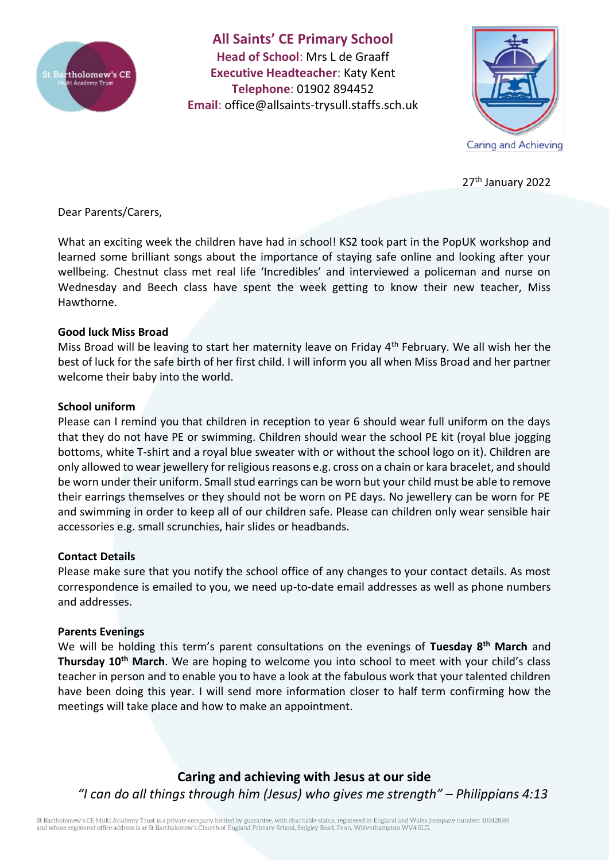

**All Saints' CE Primary School Head of School**: Mrs L de Graaff **Executive Headteacher**: Katy Kent **Telephone**: 01902 894452 **Email**: [office@allsaints-trysull.staffs.sch.uk](mailto:office@allsaints-trysull.staffs.sch.uk)



27<sup>th</sup> January 2022

Dear Parents/Carers,

What an exciting week the children have had in school! KS2 took part in the PopUK workshop and learned some brilliant songs about the importance of staying safe online and looking after your wellbeing. Chestnut class met real life 'Incredibles' and interviewed a policeman and nurse on Wednesday and Beech class have spent the week getting to know their new teacher, Miss Hawthorne.

## **Good luck Miss Broad**

Miss Broad will be leaving to start her maternity leave on Friday  $4<sup>th</sup>$  February. We all wish her the best of luck for the safe birth of her first child. I will inform you all when Miss Broad and her partner welcome their baby into the world.

## **School uniform**

Please can I remind you that children in reception to year 6 should wear full uniform on the days that they do not have PE or swimming. Children should wear the school PE kit (royal blue jogging bottoms, white T-shirt and a royal blue sweater with or without the school logo on it). Children are only allowed to wear jewellery for religious reasons e.g. cross on a chain or kara bracelet, and should be worn under their uniform. Small stud earrings can be worn but your child must be able to remove their earrings themselves or they should not be worn on PE days. No jewellery can be worn for PE and swimming in order to keep all of our children safe. Please can children only wear sensible hair accessories e.g. small scrunchies, hair slides or headbands.

## **Contact Details**

Please make sure that you notify the school office of any changes to your contact details. As most correspondence is emailed to you, we need up-to-date email addresses as well as phone numbers and addresses.

## **Parents Evenings**

We will be holding this term's parent consultations on the evenings of **Tuesday 8th March** and **Thursday 10th March**. We are hoping to welcome you into school to meet with your child's class teacher in person and to enable you to have a look at the fabulous work that your talented children have been doing this year. I will send more information closer to half term confirming how the meetings will take place and how to make an appointment.

**Caring and achieving with Jesus at our side** *"I can do all things through him (Jesus) who gives me strength" – Philippians 4:13*